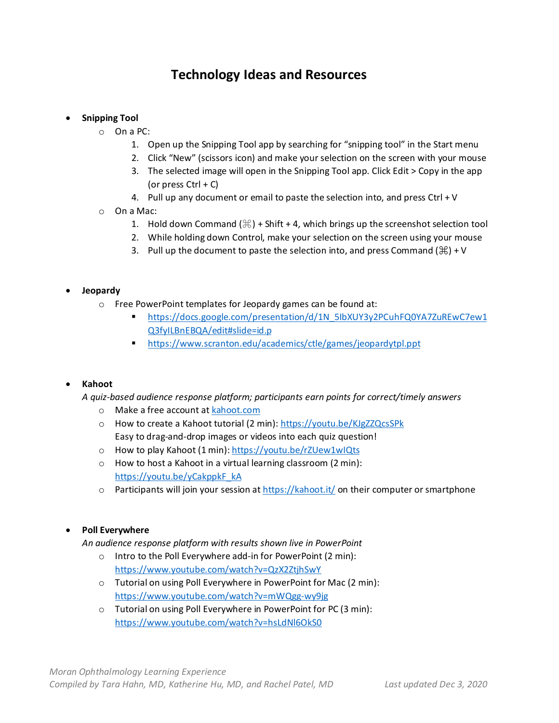# **Technology Ideas and Resources**

## • **Snipping Tool**

- o On a PC:
	- 1. Open up the Snipping Tool app by searching for "snipping tool" in the Start menu
	- 2. Click "New" (scissors icon) and make your selection on the screen with your mouse
	- 3. The selected image will open in the Snipping Tool app. Click Edit > Copy in the app (or press  $Ctrl + C$ )
	- 4. Pull up any document or email to paste the selection into, and press Ctrl + V
- o On a Mac:
	- 1. Hold down Command  $(\frac{4}{5})$  + Shift + 4, which brings up the screenshot selection tool
	- 2. While holding down Control, make your selection on the screen using your mouse
	- 3. Pull up the document to paste the selection into, and press Command  $(\frac{\pi}{\theta}) + V$

#### • **Jeopardy**

- o Free PowerPoint templates for Jeopardy games can be found at:
	- [https://docs.google.com/presentation/d/1N\\_5IbXUY3y2PCuhFQ0YA7ZuREwC7ew1](https://docs.google.com/presentation/d/1N_5IbXUY3y2PCuhFQ0YA7ZuREwC7ew1Q3fyILBnEBQA/edit#slide=id.p) [Q3fyILBnEBQA/edit#slide=id.p](https://docs.google.com/presentation/d/1N_5IbXUY3y2PCuhFQ0YA7ZuREwC7ew1Q3fyILBnEBQA/edit#slide=id.p)
	- <https://www.scranton.edu/academics/ctle/games/jeopardytpl.ppt>

#### • **Kahoot**

*A quiz-based audience response platform; participants earn points for correct/timely answers*

- o Make a free account a[t kahoot.com](http://kahoot.com/)
- o How to create a Kahoot tutorial (2 min):<https://youtu.be/KJgZZQcsSPk> Easy to drag-and-drop images or videos into each quiz question!
- o How to play Kahoot (1 min):<https://youtu.be/rZUew1wIQts>
- o How to host a Kahoot in a virtual learning classroom (2 min): [https://youtu.be/yCakppkF\\_kA](https://youtu.be/yCakppkF_kA)
- $\circ$  Participants will join your session at<https://kahoot.it/> on their computer or smartphone

#### • **Poll Everywhere**

*An audience response platform with results shown live in PowerPoint*

- o Intro to the Poll Everywhere add-in for PowerPoint (2 min): <https://www.youtube.com/watch?v=QzX2ZtjhSwY>
- o Tutorial on using Poll Everywhere in PowerPoint for Mac (2 min): <https://www.youtube.com/watch?v=mWQgg-wy9jg>
- o Tutorial on using Poll Everywhere in PowerPoint for PC (3 min): <https://www.youtube.com/watch?v=hsLdNl6OkS0>